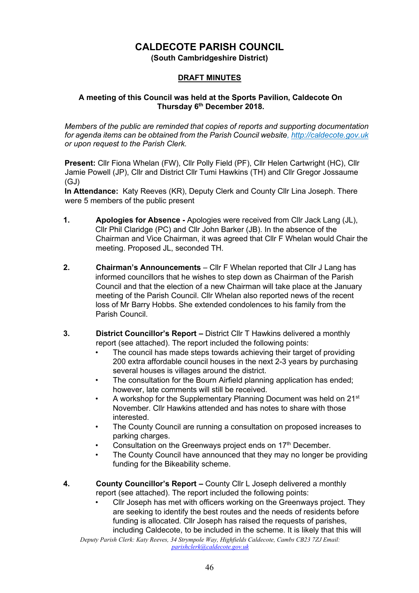# **CALDECOTE PARISH COUNCIL**

**(South Cambridgeshire District)** 

# **DRAFT MINUTES**

### **A meeting of this Council was held at the Sports Pavilion, Caldecote On Thursday 6th December 2018.**

*Members of the public are reminded that copies of reports and supporting documentation for agenda items can be obtained from the Parish Council website[, http://caldecote.gov.uk](http://caldecote.gov.uk/) or upon request to the Parish Clerk.* 

**Present:** Cllr Fiona Whelan (FW), Cllr Polly Field (PF), Cllr Helen Cartwright (HC), Cllr Jamie Powell (JP), Cllr and District Cllr Tumi Hawkins (TH) and Cllr Gregor Jossaume (GJ)

**In Attendance:** Katy Reeves (KR), Deputy Clerk and County Cllr Lina Joseph. There were 5 members of the public present

- **1. Apologies for Absence -** Apologies were received from Cllr Jack Lang (JL), Cllr Phil Claridge (PC) and Cllr John Barker (JB). In the absence of the Chairman and Vice Chairman, it was agreed that Cllr F Whelan would Chair the meeting. Proposed JL, seconded TH.
- **2. Chairman's Announcements** Cllr F Whelan reported that Cllr J Lang has informed councillors that he wishes to step down as Chairman of the Parish Council and that the election of a new Chairman will take place at the January meeting of the Parish Council. Cllr Whelan also reported news of the recent loss of Mr Barry Hobbs. She extended condolences to his family from the Parish Council.
- **3. District Councillor's Report –** District Cllr T Hawkins delivered a monthly report (see attached). The report included the following points:
	- The council has made steps towards achieving their target of providing 200 extra affordable council houses in the next 2-3 years by purchasing several houses is villages around the district.
	- The consultation for the Bourn Airfield planning application has ended; however, late comments will still be received.
	- A workshop for the Supplementary Planning Document was held on 21<sup>st</sup> November. Cllr Hawkins attended and has notes to share with those interested.
	- The County Council are running a consultation on proposed increases to parking charges.
	- Consultation on the Greenways project ends on 17<sup>th</sup> December.
	- The County Council have announced that they may no longer be providing funding for the Bikeability scheme.
- **4. County Councillor's Report** *–* County Cllr L Joseph delivered a monthly report (see attached). The report included the following points:
	- Cllr Joseph has met with officers working on the Greenways project. They are seeking to identify the best routes and the needs of residents before funding is allocated. Cllr Joseph has raised the requests of parishes, including Caldecote, to be included in the scheme. It is likely that this will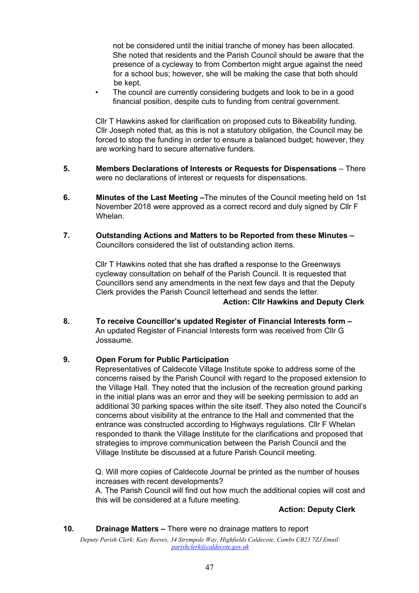not be considered until the initial tranche of money has been allocated. She noted that residents and the Parish Council should be aware that the presence of a cycleway to from Comberton might argue against the need for a school bus; however, she will be making the case that both should be kept.

The council are currently considering budgets and look to be in a good financial position, despite cuts to funding from central government.

Cllr T Hawkins asked for clarification on proposed cuts to Bikeability funding. Cllr Joseph noted that, as this is not a statutory obligation, the Council may be forced to stop the funding in order to ensure a balanced budget; however, they are working hard to secure alternative funders.

- **5. Members Declarations of Interests or Requests for Dispensations** There were no declarations of interest or requests for dispensations.
- **6. Minutes of the Last Meeting –**The minutes of the Council meeting held on 1st November 2018 were approved as a correct record and duly signed by Cllr F Whelan.
- **7. Outstanding Actions and Matters to be Reported from these Minutes –** Councillors considered the list of outstanding action items.

Cllr T Hawkins noted that she has drafted a response to the Greenways cycleway consultation on behalf of the Parish Council. It is requested that Councillors send any amendments in the next few days and that the Deputy Clerk provides the Parish Council letterhead and sends the letter. **Action: Cllr Hawkins and Deputy Clerk**

**8. To receive Councillor's updated Register of Financial Interests form –** An updated Register of Financial Interests form was received from Cllr G Jossaume.

## **9. Open Forum for Public Participation**

Representatives of Caldecote Village Institute spoke to address some of the concerns raised by the Parish Council with regard to the proposed extension to the Village Hall. They noted that the inclusion of the recreation ground parking in the initial plans was an error and they will be seeking permission to add an additional 30 parking spaces within the site itself. They also noted the Council's concerns about visibility at the entrance to the Hall and commented that the entrance was constructed according to Highways regulations. Cllr F Whelan responded to thank the Village Institute for the clarifications and proposed that strategies to improve communication between the Parish Council and the Village Institute be discussed at a future Parish Council meeting.

Q. Will more copies of Caldecote Journal be printed as the number of houses increases with recent developments?

A. The Parish Council will find out how much the additional copies will cost and this will be considered at a future meeting.

### **Action: Deputy Clerk**

## **10. Drainage Matters –** There were no drainage matters to report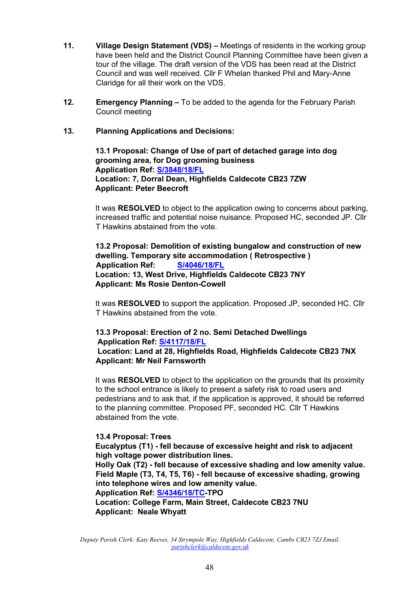- **11. Village Design Statement (VDS) –** Meetings of residents in the working group have been held and the District Council Planning Committee have been given a tour of the village. The draft version of the VDS has been read at the District Council and was well received. Cllr F Whelan thanked Phil and Mary-Anne Claridge for all their work on the VDS.
- **12. Emergency Planning –** To be added to the agenda for the February Parish Council meeting

## **13. Planning Applications and Decisions:**

**13.1 Proposal: Change of Use of part of detached garage into dog grooming area, for Dog grooming business Application Ref: [S/3848/18/FL](http://plan.scambs.gov.uk/swiftlg/apas/run/WPHAPPDETAIL.DisplayUrl?theApnID=S/3848/18/FL&backURL=%253Ca%2520href%253Dwphappcriteria.display%253FpaSearchKey%253D1800585%253ESearch%2520Criteria%253C%252Fa%253E%20%3E%20%3Ca%20href%3D%27wphappsearchres.displayResultsURL%3FResultID%3D2375416%2526StartIndex%3D1%2526SortOrder%3Drgndat%3Adesc%2526DispResultsAs%3DWPHAPPSEARCHRES%2526BackURL%3D%253Ca%2520href%253Dwphappcriteria.display%253FpaSearchKey%253D1800585%253ESearch%2520Criteria%253C%252Fa%253E%27%3ESearch%20Results%3C%2Fa%3E) Location: 7, Dorral Dean, Highfields Caldecote CB23 7ZW Applicant: Peter Beecroft** 

It was **RESOLVED** to object to the application owing to concerns about parking, increased traffic and potential noise nuisance. Proposed HC, seconded JP. Cllr T Hawkins abstained from the vote.

**13.2 Proposal: Demolition of existing bungalow and construction of new dwelling. Temporary site accommodation ( Retrospective ) Application Ref: [S/4046/18/FL](http://plan.scambs.gov.uk/swiftlg/apas/run/WPHAPPDETAIL.DisplayUrl?theApnID=S/4046/18/FL&backURL=%253Ca%2520href%253Dwphappcriteria.display%253FpaSearchKey%253D1800593%253ESearch%2520Criteria%253C%252Fa%253E%20%3E%20%3Ca%20href%3D%27wphappsearchres.displayResultsURL%3FResultID%3D2375425%2526StartIndex%3D1%2526SortOrder%3Drgndat%3Adesc%2526DispResultsAs%3DWPHAPPSEARCHRES%2526BackURL%3D%253Ca%2520href%253Dwphappcriteria.display%253FpaSearchKey%253D1800593%253ESearch%2520Criteria%253C%252Fa%253E%27%3ESearch%20Results%3C%2Fa%3E) Location: 13, West Drive, Highfields Caldecote CB23 7NY Applicant: Ms Rosie Denton-Cowell** 

It was **RESOLVED** to support the application. Proposed JP, seconded HC. Cllr T Hawkins abstained from the vote.

#### **13.3 Proposal: Erection of 2 no. Semi Detached Dwellings Application Ref: [S/4117/18/FL](http://plan.scambs.gov.uk/swiftlg/apas/run/WPHAPPDETAIL.DisplayUrl?theApnID=S/4117/18/FL&backURL=%253Ca%2520href%253Dwphappcriteria.display%253FpaSearchKey%253D1800601%253ESearch%2520Criteria%253C%252Fa%253E%20%3E%20%3Ca%20href%3D%27wphappsearchres.displayResultsURL%3FResultID%3D2375433%2526StartIndex%3D1%2526SortOrder%3Drgndat%3Adesc%2526DispResultsAs%3DWPHAPPSEARCHRES%2526BackURL%3D%253Ca%2520href%253Dwphappcriteria.display%253FpaSearchKey%253D1800601%253ESearch%2520Criteria%253C%252Fa%253E%27%3ESearch%20Results%3C%2Fa%3E) Location: Land at 28, Highfields Road, Highfields Caldecote CB23 7NX Applicant: Mr Neil Farnsworth**

It was **RESOLVED** to object to the application on the grounds that its proximity to the school entrance is likely to present a safety risk to road users and pedestrians and to ask that, if the application is approved, it should be referred to the planning committee. Proposed PF, seconded HC. Cllr T Hawkins abstained from the vote.

### **13.4 Proposal: Trees**

**Eucalyptus (T1) - fell because of excessive height and risk to adjacent high voltage power distribution lines.** 

**Holly Oak (T2) - fell because of excessive shading and low amenity value. Field Maple (T3, T4, T5, T6) - fell because of excessive shading, growing into telephone wires and low amenity value.** 

**Application Ref: [S/4346/18/TC-T](http://plan.scambs.gov.uk/swiftlg/apas/run/WPHAPPDETAIL.DisplayUrl?theApnID=S/4346/18/TC&backURL=%253Ca%2520href%253Dwphappcriteria.display%253FpaSearchKey%253D1800596%253ESearch%2520Criteria%253C%252Fa%253E%20%3E%20%3Ca%20href%3D%27wphappsearchres.displayResultsURL%3FResultID%3D2375428%2526StartIndex%3D1%2526SortOrder%3Drgndat%3Adesc%2526DispResultsAs%3DWPHAPPSEARCHRES%2526BackURL%3D%253Ca%2520href%253Dwphappcriteria.display%253FpaSearchKey%253D1800596%253ESearch%2520Criteria%253C%252Fa%253E%27%3ESearch%20Results%3C%2Fa%3E)PO** 

**Location: College Farm, Main Street, Caldecote CB23 7NU Applicant: Neale Whyatt**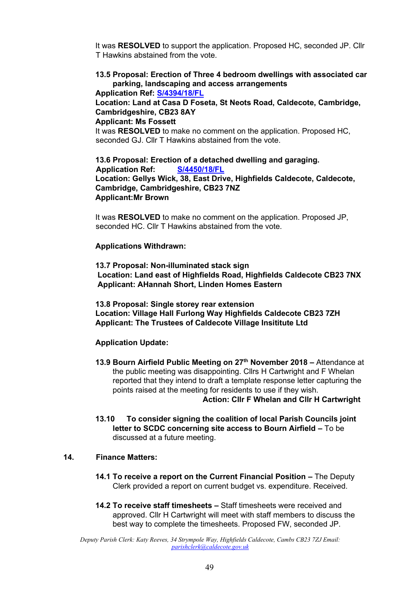It was **RESOLVED** to support the application. Proposed HC, seconded JP. Cllr T Hawkins abstained from the vote.

# **13.5 Proposal: Erection of Three 4 bedroom dwellings with associated car parking, landscaping and access arrangements**

**Application Ref: [S/4394/18/FL](http://plan.scambs.gov.uk/swiftlg/apas/run/WPHAPPDETAIL.DisplayUrl?theApnID=S/4394/18/FL&backURL=%253Ca%2520href%253Dwphappcriteria.display%253FpaSearchKey%253D1800597%253ESearch%2520Criteria%253C%252Fa%253E%20%3E%20%3Ca%20href%3D%27wphappsearchres.displayResultsURL%3FResultID%3D2375429%2526StartIndex%3D1%2526SortOrder%3Drgndat%3Adesc%2526DispResultsAs%3DWPHAPPSEARCHRES%2526BackURL%3D%253Ca%2520href%253Dwphappcriteria.display%253FpaSearchKey%253D1800597%253ESearch%2520Criteria%253C%252Fa%253E%27%3ESearch%20Results%3C%2Fa%3E)**

# **Location: Land at Casa D Foseta, St Neots Road, Caldecote, Cambridge, Cambridgeshire, CB23 8AY**

#### **Applicant: Ms Fossett**

It was **RESOLVED** to make no comment on the application. Proposed HC, seconded GJ. Cllr T Hawkins abstained from the vote.

**13.6 Proposal: Erection of a detached dwelling and garaging. Application Ref: [S/4450/18/FL](http://plan.scambs.gov.uk/swiftlg/apas/run/WPHAPPDETAIL.DisplayUrl?theApnID=S/4450/18/FL&backURL=%253Ca%2520href%253Dwphappcriteria.display%253FpaSearchKey%253D1800598%253ESearch%2520Criteria%253C%252Fa%253E%20%3E%20%3Ca%20href%3D%27wphappsearchres.displayResultsURL%3FResultID%3D2375430%2526StartIndex%3D1%2526SortOrder%3Drgndat%3Adesc%2526DispResultsAs%3DWPHAPPSEARCHRES%2526BackURL%3D%253Ca%2520href%253Dwphappcriteria.display%253FpaSearchKey%253D1800598%253ESearch%2520Criteria%253C%252Fa%253E%27%3ESearch%20Results%3C%2Fa%3E) Location: Gellys Wick, 38, East Drive, Highfields Caldecote, Caldecote, Cambridge, Cambridgeshire, CB23 7NZ Applicant:Mr Brown** 

It was **RESOLVED** to make no comment on the application. Proposed JP, seconded HC. Cllr T Hawkins abstained from the vote.

#### **Applications Withdrawn:**

**13.7 Proposal: Non-illuminated stack sign Location: Land east of Highfields Road, Highfields Caldecote CB23 7NX Applicant: AHannah Short, Linden Homes Eastern** 

**13.8 Proposal: Single storey rear extension Location: Village Hall Furlong Way Highfields Caldecote CB23 7ZH Applicant: The Trustees of Caldecote Village Insititute Ltd** 

### **Application Update:**

- **13.9 Bourn Airfield Public Meeting on 27th November 2018 –** Attendance at the public meeting was disappointing. Cllrs H Cartwright and F Whelan reported that they intend to draft a template response letter capturing the points raised at the meeting for residents to use if they wish.  **Action: Cllr F Whelan and Cllr H Cartwright**
- **13.10 To consider signing the coalition of local Parish Councils joint letter to SCDC concerning site access to Bourn Airfield –** To be discussed at a future meeting.

#### **14. Finance Matters:**

- **14.1 To receive a report on the Current Financial Position The Deputy** Clerk provided a report on current budget vs. expenditure. Received.
- **14.2 To receive staff timesheets –** Staff timesheets were received and approved. Cllr H Cartwright will meet with staff members to discuss the best way to complete the timesheets. Proposed FW, seconded JP.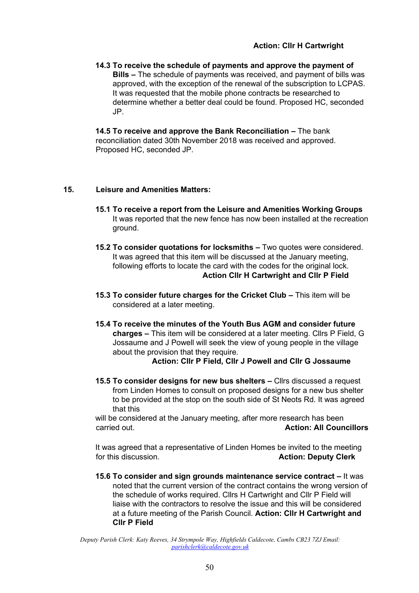**14.3 To receive the schedule of payments and approve the payment of Bills –** The schedule of payments was received, and payment of bills was approved, with the exception of the renewal of the subscription to LCPAS. It was requested that the mobile phone contracts be researched to determine whether a better deal could be found. Proposed HC, seconded JP.

**14.5 To receive and approve the Bank Reconciliation – The bank** reconciliation dated 30th November 2018 was received and approved. Proposed HC, seconded JP.

## **15. Leisure and Amenities Matters:**

- **15.1 To receive a report from the Leisure and Amenities Working Groups**  It was reported that the new fence has now been installed at the recreation ground.
- **15.2 To consider quotations for locksmiths –** Two quotes were considered. It was agreed that this item will be discussed at the January meeting, following efforts to locate the card with the codes for the original lock. **Action Cllr H Cartwright and Cllr P Field**
- **15.3** To consider future charges for the Cricket Club This item will be considered at a later meeting.
- **15.4 To receive the minutes of the Youth Bus AGM and consider future charges –** This item will be considered at a later meeting. Cllrs P Field, G Jossaume and J Powell will seek the view of young people in the village about the provision that they require.

**Action: Cllr P Field, Cllr J Powell and Cllr G Jossaume** 

**15.5 To consider designs for new bus shelters –** Cllrs discussed a request from Linden Homes to consult on proposed designs for a new bus shelter to be provided at the stop on the south side of St Neots Rd. It was agreed that this

will be considered at the January meeting, after more research has been carried out. **Action: All Councillors** 

It was agreed that a representative of Linden Homes be invited to the meeting for this discussion. **Action: Deputy Clerk** 

**15.6 To consider and sign grounds maintenance service contract –** It was noted that the current version of the contract contains the wrong version of the schedule of works required. Cllrs H Cartwright and Cllr P Field will liaise with the contractors to resolve the issue and this will be considered at a future meeting of the Parish Council. **Action: Cllr H Cartwright and Cllr P Field**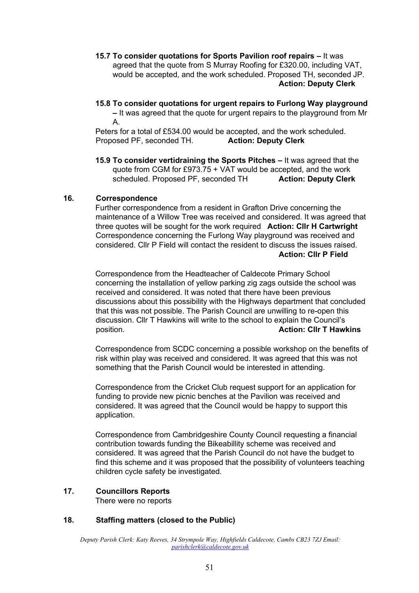#### **15.7 To consider quotations for Sports Pavilion roof repairs –** It was agreed that the quote from S Murray Roofing for £320.00, including VAT, would be accepted, and the work scheduled. Proposed TH, seconded JP. **Action: Deputy Clerk**

## **15.8 To consider quotations for urgent repairs to Furlong Way playground**

**–** It was agreed that the quote for urgent repairs to the playground from Mr A.

Peters for a total of £534.00 would be accepted, and the work scheduled. Proposed PF, seconded TH. **Action: Deputy Clerk**

**15.9 To consider vertidraining the Sports Pitches –** It was agreed that the quote from CGM for £973.75 + VAT would be accepted, and the work scheduled. Proposed PF, seconded TH **Action: Deputy Clerk** 

### **16. Correspondence**

Further correspondence from a resident in Grafton Drive concerning the maintenance of a Willow Tree was received and considered. It was agreed that three quotes will be sought for the work required **Action: Cllr H Cartwright** Correspondence concerning the Furlong Way playground was received and considered. Cllr P Field will contact the resident to discuss the issues raised. **Action: Cllr P Field**

Correspondence from the Headteacher of Caldecote Primary School concerning the installation of yellow parking zig zags outside the school was received and considered. It was noted that there have been previous discussions about this possibility with the Highways department that concluded that this was not possible. The Parish Council are unwilling to re-open this discussion. Cllr T Hawkins will write to the school to explain the Council's position. **Action: Cllr T Hawkins** 

Correspondence from SCDC concerning a possible workshop on the benefits of risk within play was received and considered. It was agreed that this was not something that the Parish Council would be interested in attending.

Correspondence from the Cricket Club request support for an application for funding to provide new picnic benches at the Pavilion was received and considered. It was agreed that the Council would be happy to support this application.

Correspondence from Cambridgeshire County Council requesting a financial contribution towards funding the Bikeabillity scheme was received and considered. It was agreed that the Parish Council do not have the budget to find this scheme and it was proposed that the possibility of volunteers teaching children cycle safety be investigated.

#### **17. Councillors Reports** There were no reports

# **18. Staffing matters (closed to the Public)**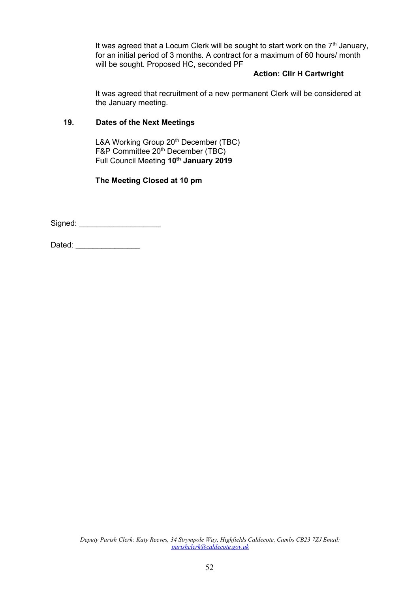It was agreed that a Locum Clerk will be sought to start work on the  $7<sup>th</sup>$  January, for an initial period of 3 months. A contract for a maximum of 60 hours/ month will be sought. Proposed HC, seconded PF

## **Action: Cllr H Cartwright**

It was agreed that recruitment of a new permanent Clerk will be considered at the January meeting.

### **19. Dates of the Next Meetings**

L&A Working Group 20<sup>th</sup> December (TBC) F&P Committee 20<sup>th</sup> December (TBC) Full Council Meeting **10th January 2019**

**The Meeting Closed at 10 pm** 

Signed: \_\_\_\_\_\_\_\_\_\_\_\_\_\_\_\_\_\_\_

Dated: \_\_\_\_\_\_\_\_\_\_\_\_\_\_\_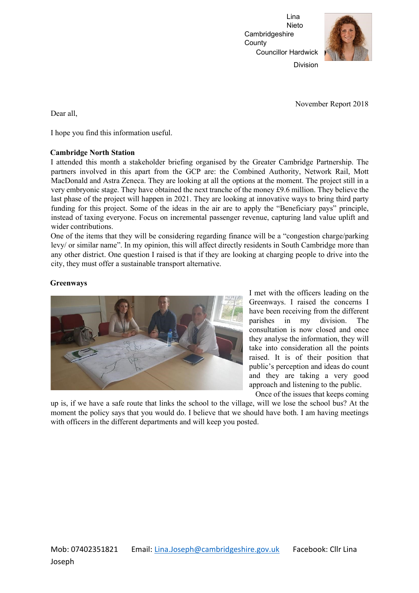Lina Nieto Cambridgeshire **County** Councillor Hardwick



Division

November Report 2018

Dear all,

I hope you find this information useful.

#### **Cambridge North Station**

I attended this month a stakeholder briefing organised by the Greater Cambridge Partnership. The partners involved in this apart from the GCP are: the Combined Authority, Network Rail, Mott MacDonald and Astra Zeneca. They are looking at all the options at the moment. The project still in a very embryonic stage. They have obtained the next tranche of the money £9.6 million. They believe the last phase of the project will happen in 2021. They are looking at innovative ways to bring third party funding for this project. Some of the ideas in the air are to apply the "Beneficiary pays" principle, instead of taxing everyone. Focus on incremental passenger revenue, capturing land value uplift and wider contributions.

One of the items that they will be considering regarding finance will be a "congestion charge/parking levy/ or similar name". In my opinion, this will affect directly residents in South Cambridge more than any other district. One question I raised is that if they are looking at charging people to drive into the city, they must offer a sustainable transport alternative.

#### **Greenways**



I met with the officers leading on the Greenways. I raised the concerns I have been receiving from the different parishes in my division. The consultation is now closed and once they analyse the information, they will take into consideration all the points raised. It is of their position that public's perception and ideas do count and they are taking a very good approach and listening to the public.

Once of the issues that keeps coming

up is, if we have a safe route that links the school to the village, will we lose the school bus? At the moment the policy says that you would do. I believe that we should have both. I am having meetings with officers in the different departments and will keep you posted.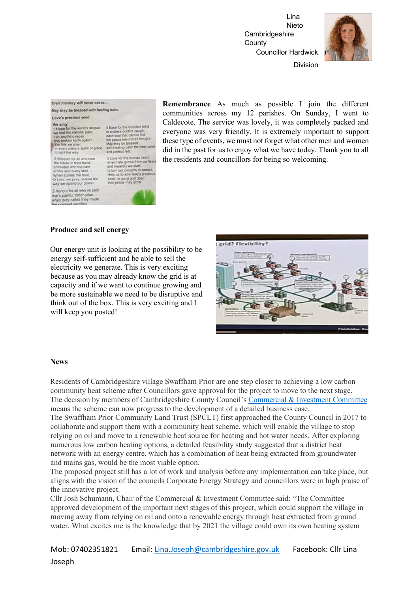Lina Nieto **Cambridgeshire County** Councillor Hardwick



Division

#### Their memory will never cease... May they he blessed with healing balm...

#### Love's precious seed...

2 Wisdom for all who bear 2 viscom for as who bear<br>the future in their hand,<br>entrusted with the care<br>of this and every land,<br>When comes the hour,<br>O Lord, we pray, inspire the<br>way we spend our power. 3 Honour for all who've paid war's painful, bitter price,<br>when duty called they made

4 Ease for the sources on the capital each soul that cannot find<br>each soul that cannot find<br>the peace beyond all thought<br>May they be blessed<br>with healing balm for inner calm<br>and perfect rest. 5 Love for the human heart.<br>when halle grows from our fears<br>and invaringly els start<br>to turn our pleughs to spears.<br>Help us to sow love's precious<br>seed, in word and deed,<br>that peace may grow.

**Remembrance** As much as possible I join the different communities across my 12 parishes. On Sunday, I went to Caldecote. The service was lovely, it was completely packed and everyone was very friendly. It is extremely important to support these type of events, we must not forget what other men and women did in the past for us to enjoy what we have today. Thank you to all the residents and councillors for being so welcoming.

#### **Produce and sell energy**

Our energy unit is looking at the possibility to be energy self-sufficient and be able to sell the electricity we generate. This is very exciting because as you may already know the grid is at capacity and if we want to continue growing and be more sustainable we need to be disruptive and think out of the box. This is very exciting and I will keep you posted!



#### **News**

Residents of Cambridgeshire village Swaffham Prior are one step closer to achieving a low carbon community heat scheme after Councillors gave approval for the project to move to the next stage. The decision by members of Cambridgeshire County Council's [Commercial & Investment Committee](https://cmis.cambridgeshire.gov.uk/CCC_live/Document.ashx?czJKcaeAi5tUFL1DTL2UE4zNRBcoShgo=W5TtyH7d1Uj0dad9R1XLvye9OzhdTxn%2bofqKQWbAY65%2b0DwTRXgpPw%3d%3d&rUzwRPf%2bZ3zd4E7Ikn8Lyw%3d%3d=pwRE6AGJFLDNlh225F5QMaQWCtPHwdhUfCZ%2fLUQzgA2uL5jNRG4jdQ%3d%3d&mCTIbCubSFfXsDGW9IXnlg%3d%3d=hFflUdN3100%3d&kCx1AnS9%2fpWZQ40DXFvdEw%3d%3d=hFflUdN3100%3d&uJovDxwdjMPoYv%2bAJvYtyA%3d%3d=ctNJFf55vVA%3d&FgPlIEJYlotS%2bYGoBi5olA%3d%3d=NHdURQburHA%3d&d9Qjj0ag1Pd993jsyOJqFvmyB7X0CSQK=ctNJFf55vVA%3d&WGewmoAfeNR9xqBux0r1Q8Za60lavYmz=ctNJFf55vVA%3d&WGewmoAfeNQ16B2MHuCpMRKZMwaG1PaO=ctNJFf55vVA%3d) means the scheme can now progress to the development of a detailed business case.

The Swaffham Prior Community Land Trust (SPCLT) first approached the County Council in 2017 to collaborate and support them with a community heat scheme, which will enable the village to stop relying on oil and move to a renewable heat source for heating and hot water needs. After exploring numerous low carbon heating options, a detailed feasibility study suggested that a district heat network with an energy centre, which has a combination of heat being extracted from groundwater and mains gas, would be the most viable option.

The proposed project still has a lot of work and analysis before any implementation can take place, but aligns with the vision of the councils Corporate Energy Strategy and councillors were in high praise of the innovative project.

Cllr Josh Schumann, Chair of the Commercial & Investment Committee said: "The Committee approved development of the important next stages of this project, which could support the village in moving away from relying on oil and onto a renewable energy through heat extracted from ground water. What excites me is the knowledge that by 2021 the village could own its own heating system

Mob: 07402351821 Email: Lina.Joseph@cambridgeshire.gov.uk Facebook: Cllr Lina Joseph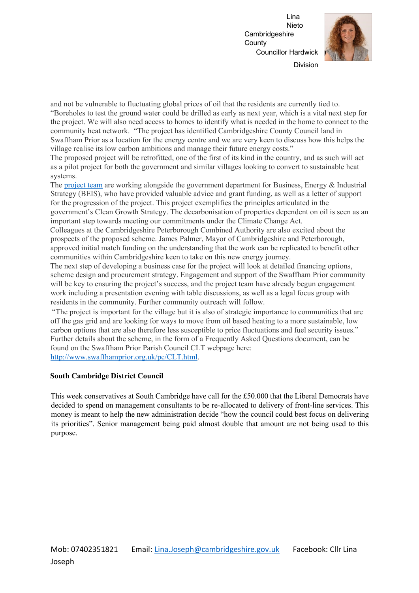Lina Nieto **Cambridgeshire County** Councillor Hardwick



Division

and not be vulnerable to fluctuating global prices of oil that the residents are currently tied to. "Boreholes to test the ground water could be drilled as early as next year, which is a vital next step for the project. We will also need access to homes to identify what is needed in the home to connect to the community heat network. "The project has identified Cambridgeshire County Council land in Swaffham Prior as a location for the energy centre and we are very keen to discuss how this helps the village realise its low carbon ambitions and manage their future energy costs."

The proposed project will be retrofitted, one of the first of its kind in the country, and as such will act as a pilot project for both the government and similar villages looking to convert to sustainable heat systems.

The [project team](https://www.mlei.co.uk/section-1/swaffham-prior-community-heat-project/) [a](https://www.mlei.co.uk/section-1/swaffham-prior-community-heat-project/)re working alongside the government department for Business, Energy & Industrial Strategy (BEIS), who have provided valuable advice and grant funding, as well as a letter of support for the progression of the project. This project exemplifies the principles articulated in the government's Clean Growth Strategy. The decarbonisation of properties dependent on oil is seen as an important step towards meeting our commitments under the Climate Change Act.

Colleagues at the Cambridgeshire Peterborough Combined Authority are also excited about the prospects of the proposed scheme. James Palmer, Mayor of Cambridgeshire and Peterborough, approved initial match funding on the understanding that the work can be replicated to benefit other communities within Cambridgeshire keen to take on this new energy journey.

The next step of developing a business case for the project will look at detailed financing options, scheme design and procurement strategy. Engagement and support of the Swaffham Prior community will be key to ensuring the project's success, and the project team have already begun engagement work including a presentation evening with table discussions, as well as a legal focus group with residents in the community. Further community outreach will follow.

"The project is important for the village but it is also of strategic importance to communities that are off the gas grid and are looking for ways to move from oil based heating to a more sustainable, low carbon options that are also therefore less susceptible to price fluctuations and fuel security issues." Further details about the scheme, in the form of a Frequently Asked Questions document, can be found on the Swaffham Prior Parish Council CLT webpage here: [http://www.swaffhamprior.org.uk/pc/CLT.html.](http://www.swaffham-prior.org.uk/pc/CLT.html)

### **South Cambridge District Council**

This week conservatives at South Cambridge have call for the £50.000 that the Liberal Democrats have decided to spend on management consultants to be re-allocated to delivery of front-line services. This money is meant to help the new administration decide "how the council could best focus on delivering its priorities". Senior management being paid almost double that amount are not being used to this purpose.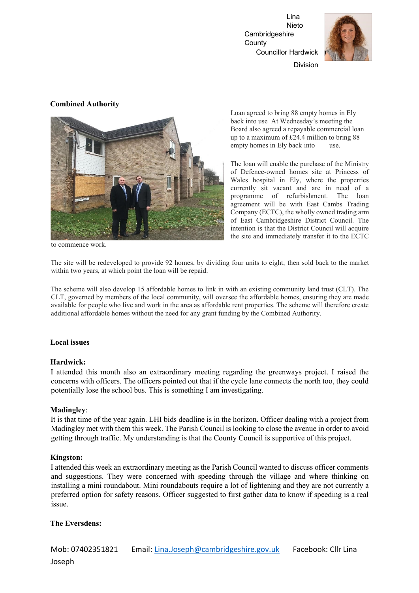Lina Nieto Cambridgeshire **County** Councillor Hardwick



Division

#### **Combined Authority**



Loan agreed to bring 88 empty homes in Ely back into use At Wednesday's meeting the Board also agreed a repayable commercial loan up to a maximum of £24.4 million to bring 88 empty homes in Ely back into use.

The loan will enable the purchase of the Ministry of Defence-owned homes site at Princess of Wales hospital in Ely, where the properties currently sit vacant and are in need of a programme of refurbishment. The loan agreement will be with East Cambs Trading Company (ECTC), the wholly owned trading arm of East Cambridgeshire District Council. The intention is that the District Council will acquire the site and immediately transfer it to the ECTC

to commence work.

The site will be redeveloped to provide 92 homes, by dividing four units to eight, then sold back to the market within two years, at which point the loan will be repaid.

The scheme will also develop 15 affordable homes to link in with an existing community land trust (CLT). The CLT, governed by members of the local community, will oversee the affordable homes, ensuring they are made available for people who live and work in the area as affordable rent properties. The scheme will therefore create additional affordable homes without the need for any grant funding by the Combined Authority.

#### **Local issues**

#### **Hardwick:**

I attended this month also an extraordinary meeting regarding the greenways project. I raised the concerns with officers. The officers pointed out that if the cycle lane connects the north too, they could potentially lose the school bus. This is something I am investigating.

#### **Madingley**:

It is that time of the year again. LHI bids deadline is in the horizon. Officer dealing with a project from Madingley met with them this week. The Parish Council is looking to close the avenue in order to avoid getting through traffic. My understanding is that the County Council is supportive of this project.

### **Kingston:**

I attended this week an extraordinary meeting as the Parish Council wanted to discuss officer comments and suggestions. They were concerned with speeding through the village and where thinking on installing a mini roundabout. Mini roundabouts require a lot of lightening and they are not currently a preferred option for safety reasons. Officer suggested to first gather data to know if speeding is a real issue.

### **The Eversdens:**

Mob: 07402351821 Email: Lina.Joseph@cambridgeshire.gov.uk Facebook: Cllr Lina Joseph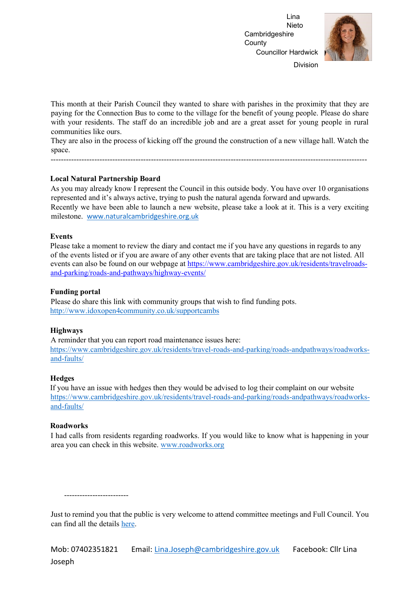Lina Nieto **Cambridgeshire County** Councillor Hardwick



Division

This month at their Parish Council they wanted to share with parishes in the proximity that they are paying for the Connection Bus to come to the village for the benefit of young people. Please do share with your residents. The staff do an incredible job and are a great asset for young people in rural communities like ours.

They are also in the process of kicking off the ground the construction of a new village hall. Watch the space.

---------------------------------------------------------------------------------------------------------------------------

#### **Local Natural Partnership Board**

As you may already know I represent the Council in this outside body. You have over 10 organisations represented and it's always active, trying to push the natural agenda forward and upwards. Recently we have been able to launch a new website, please take a look at it. This is a very exciting milestone. [www.naturalcambridgeshire.org.uk](http://www.naturalcambridgeshire.org.uk/)

#### **Events**

Please take a moment to review the diary and contact me if you have any questions in regards to any of the events listed or if you are aware of any other events that are taking place that are not listed. All events can also be found on our webpage at [https://www.cambridgeshire.gov.uk/residents/travelroads](https://www.cambridgeshire.gov.uk/residents/travel-roads-and-parking/roads-and-pathways/highway-events/)[and-parking/roads-and-pathways/highway-events/](https://www.cambridgeshire.gov.uk/residents/travel-roads-and-parking/roads-and-pathways/highway-events/)

#### **Funding portal**

Please do share this link with community groups that wish to find funding pots. <http://www.idoxopen4community.co.uk/supportcambs>

#### **Highways**

A reminder that you can report road maintenance issues here: [https://www.cambridgeshire.gov.uk/residents/travel-roads-and-parking/roads-andpathways/roadworks](https://www.cambridgeshire.gov.uk/residents/travel-roads-and-parking/roads-and-pathways/roadworks-and-faults/)[and-faults/](https://www.cambridgeshire.gov.uk/residents/travel-roads-and-parking/roads-and-pathways/roadworks-and-faults/)

#### **Hedges**

If you have an issue with hedges then they would be advised to log their complaint on our website [https://www.cambridgeshire.gov.uk/residents/travel-roads-and-parking/roads-andpathways/roadworks](https://www.cambridgeshire.gov.uk/residents/travel-roads-and-parking/roads-and-pathways/roadworks-and-faults/)[and-faults/](https://www.cambridgeshire.gov.uk/residents/travel-roads-and-parking/roads-and-pathways/roadworks-and-faults/)

#### **Roadworks**

I had calls from residents regarding roadworks. If you would like to know what is happening in your area you can check in this website. [www.roadworks.org](http://www.roadworks.org/)

-------------------------

Just to remind you that the public is very welcome to attend committee meetings and Full Council. You can find all the details [here.](https://cmis.cambridgeshire.gov.uk/ccc_live/Meetings.aspx)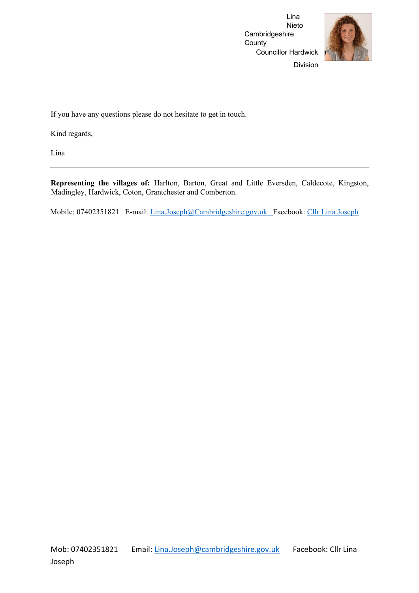Lina Nieto Cambridgeshire **County** Councillor Hardwick



Division

If you have any questions please do not hesitate to get in touch.

Kind regards,

Lina

**Representing the villages of:** Harlton, Barton, Great and Little Eversden, Caldecote, Kingston, Madingley, Hardwick, Coton, Grantchester and Comberton.

Mobile: 07402351821 E-mail: Lina.Joseph@Cambridgeshire.gov.uk Facebook: [Cllr Lina Joseph](https://www.facebook.com/CllrLinaJoseph)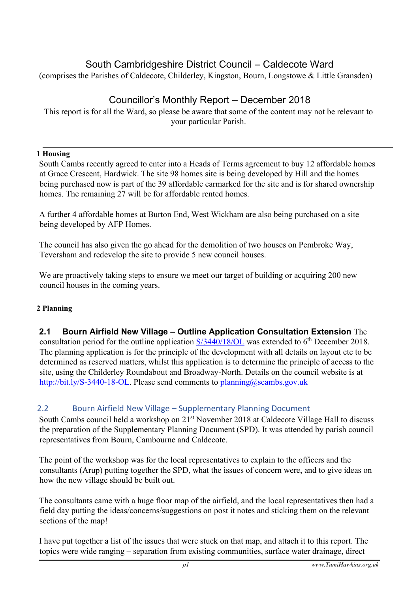# South Cambridgeshire District Council – Caldecote Ward

(comprises the Parishes of Caldecote, Childerley, Kingston, Bourn, Longstowe & Little Gransden)

# Councillor's Monthly Report – December 2018

This report is for all the Ward, so please be aware that some of the content may not be relevant to your particular Parish.

# **1 Housing**

South Cambs recently agreed to enter into a Heads of Terms agreement to buy 12 affordable homes at Grace Crescent, Hardwick. The site 98 homes site is being developed by Hill and the homes being purchased now is part of the 39 affordable earmarked for the site and is for shared ownership homes. The remaining 27 will be for affordable rented homes.

A further 4 affordable homes at Burton End, West Wickham are also being purchased on a site being developed by AFP Homes.

The council has also given the go ahead for the demolition of two houses on Pembroke Way, Teversham and redevelop the site to provide 5 new council houses.

We are proactively taking steps to ensure we meet our target of building or acquiring 200 new council houses in the coming years.

# **2 Planning**

# **2.1 Bourn Airfield New Village – Outline Application Consultation Extension** The

consultation period for the outline application  $S/3440/18/OL$  [wa](http://plan.scambs.gov.uk/swiftlg/apas/run/WPHAPPDETAIL.DisplayUrl?theApnID=S/3440/18/OL&backURL=%253Ca%2520href%253Dwphappcriteria.display%253FpaSearchKey%253D1777467%253ESearch%2520Criteria%253C%252Fa%253E%20%3E%20%3Ca%20href%3D%27wphappsearchres.displayResultsURL%3FResultID%3D2350249%2526StartIndex%3D1%2526SortOrder%3Drgndat%3Adesc%2526DispResultsAs%3DWPHAPPSEARCHRES%2526BackURL%3D%253Ca%2520href%253Dwphappcriteria.display%253FpaSearchKey%253D1777467%253ESearch%2520Criteria%253C%252Fa%253E%27%3ESearch%20Results%3C%2Fa%3E)s extended to 6<sup>th</sup> December 2018. The planning application is for the principle of the development with all details on layout etc to be determined as reserved matters, whilst this application is to determine the principle of access to the site, using the Childerley Roundabout and Broadway-North. Details on the council website is at [http://bit.ly/S-3440-18-OL.](http://bit.ly/S-3440-18-OL) [P](http://bit.ly/S-3440-18-OL)lease send comments to planning@scambs.gov.uk

# 2.2 Bourn Airfield New Village – Supplementary Planning Document

South Cambs council held a workshop on 21<sup>st</sup> November 2018 at Caldecote Village Hall to discuss the preparation of the Supplementary Planning Document (SPD). It was attended by parish council representatives from Bourn, Cambourne and Caldecote.

The point of the workshop was for the local representatives to explain to the officers and the consultants (Arup) putting together the SPD, what the issues of concern were, and to give ideas on how the new village should be built out.

The consultants came with a huge floor map of the airfield, and the local representatives then had a field day putting the ideas/concerns/suggestions on post it notes and sticking them on the relevant sections of the map!

I have put together a list of the issues that were stuck on that map, and attach it to this report. The topics were wide ranging – separation from existing communities, surface water drainage, direct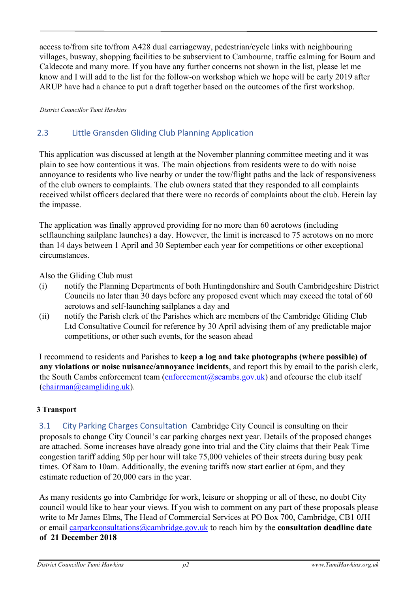access to/from site to/from A428 dual carriageway, pedestrian/cycle links with neighbouring villages, busway, shopping facilities to be subservient to Cambourne, traffic calming for Bourn and Caldecote and many more. If you have any further concerns not shown in the list, please let me know and I will add to the list for the follow-on workshop which we hope will be early 2019 after ARUP have had a chance to put a draft together based on the outcomes of the first workshop.

*District Councillor Tumi Hawkins*

# 2.3 Little Gransden Gliding Club Planning Application

This application was discussed at length at the November planning committee meeting and it was plain to see how contentious it was. The main objections from residents were to do with noise annoyance to residents who live nearby or under the tow/flight paths and the lack of responsiveness of the club owners to complaints. The club owners stated that they responded to all complaints received whilst officers declared that there were no records of complaints about the club. Herein lay the impasse.

The application was finally approved providing for no more than 60 aerotows (including selflaunching sailplane launches) a day. However, the limit is increased to 75 aerotows on no more than 14 days between 1 April and 30 September each year for competitions or other exceptional circumstances.

Also the Gliding Club must

- (i) notify the Planning Departments of both Huntingdonshire and South Cambridgeshire District Councils no later than 30 days before any proposed event which may exceed the total of 60 aerotows and self-launching sailplanes a day and
- (ii) notify the Parish clerk of the Parishes which are members of the Cambridge Gliding Club Ltd Consultative Council for reference by 30 April advising them of any predictable major competitions, or other such events, for the season ahead

I recommend to residents and Parishes to **keep a log and take photographs (where possible) of any violations or noise nuisance/annoyance incidents**, and report this by email to the parish clerk, the South Cambs enforcement team (enforcement@scambs.gov.uk) and ofcourse the club itself  $(chainman@camgliding.uk).$ 

# **3 Transport**

3.1 City Parking Charges Consultation Cambridge City Council is consulting on their proposals to change City Council's car parking charges next year. Details of the proposed changes are attached. Some increases have already gone into trial and the City claims that their Peak Time congestion tariff adding 50p per hour will take 75,000 vehicles of their streets during busy peak times. Of 8am to 10am. Additionally, the evening tariffs now start earlier at 6pm, and they estimate reduction of 20,000 cars in the year.

As many residents go into Cambridge for work, leisure or shopping or all of these, no doubt City council would like to hear your views. If you wish to comment on any part of these proposals please write to Mr James Elms, The Head of Commercial Services at PO Box 700, Cambridge, CB1 0JH or email carparkconsultations@cambridge.gov.uk to reach him by the **consultation deadline date of 21 December 2018**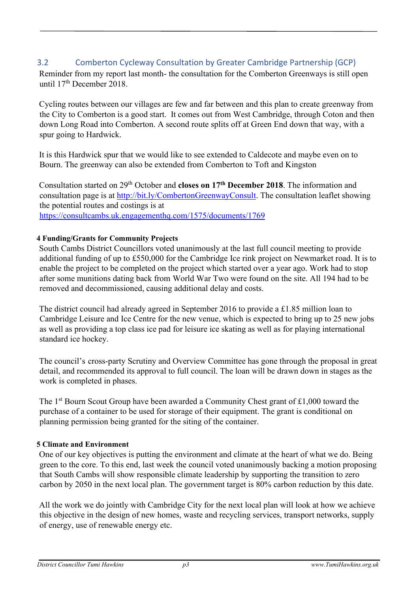# 3.2 Comberton Cycleway Consultation by Greater Cambridge Partnership (GCP)

Reminder from my report last month- the consultation for the Comberton Greenways is still open until  $17<sup>th</sup>$  December 2018.

Cycling routes between our villages are few and far between and this plan to create greenway from the City to Comberton is a good start. It comes out from West Cambridge, through Coton and then down Long Road into Comberton. A second route splits off at Green End down that way, with a spur going to Hardwick.

It is this Hardwick spur that we would like to see extended to Caldecote and maybe even on to Bourn. The greenway can also be extended from Comberton to Toft and Kingston

Consultation started on 29th October and **closes on 17th December 2018**. The information and consultation page is a[t](http://bit.ly/CombertonGreenwayConsult) [http://bit.ly/CombertonGreenwayConsult.](http://bit.ly/CombertonGreenwayConsult) [T](http://bit.ly/CombertonGreenwayConsult)he consultation leaflet showing the potential routes and costings is at <https://consultcambs.uk.engagementhq.com/1575/documents/1769>

# **4 Funding/Grants for Community Projects**

South Cambs District Councillors voted unanimously at the last full council meeting to provide additional funding of up to £550,000 for the Cambridge Ice rink project on Newmarket road. It is to enable the project to be completed on the project which started over a year ago. Work had to stop after some munitions dating back from World War Two were found on the site. All 194 had to be removed and decommissioned, causing additional delay and costs.

The district council had already agreed in September 2016 to provide a £1.85 million loan to Cambridge Leisure and Ice Centre for the new venue, which is expected to bring up to 25 new jobs as well as providing a top class ice pad for leisure ice skating as well as for playing international standard ice hockey.

The council's cross-party Scrutiny and Overview Committee has gone through the proposal in great detail, and recommended its approval to full council. The loan will be drawn down in stages as the work is completed in phases.

The 1<sup>st</sup> Bourn Scout Group have been awarded a Community Chest grant of £1,000 toward the purchase of a container to be used for storage of their equipment. The grant is conditional on planning permission being granted for the siting of the container.

# **5 Climate and Environment**

One of our key objectives is putting the environment and climate at the heart of what we do. Being green to the core. To this end, last week the council voted unanimously backing a motion proposing that South Cambs will show responsible climate leadership by supporting the transition to zero carbon by 2050 in the next local plan. The government target is 80% carbon reduction by this date.

All the work we do jointly with Cambridge City for the next local plan will look at how we achieve this objective in the design of new homes, waste and recycling services, transport networks, supply of energy, use of renewable energy etc.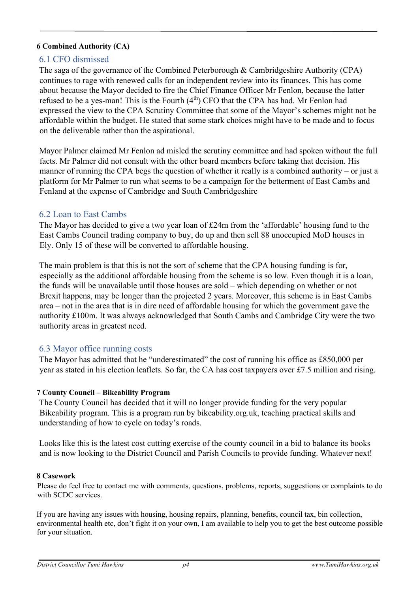# **6 Combined Authority (CA)**

# 6.1 CFO dismissed

The saga of the governance of the Combined Peterborough & Cambridgeshire Authority (CPA) continues to rage with renewed calls for an independent review into its finances. This has come about because the Mayor decided to fire the Chief Finance Officer Mr Fenlon, because the latter refused to be a yes-man! This is the Fourth  $(4<sup>th</sup>)$  CFO that the CPA has had. Mr Fenlon had expressed the view to the CPA Scrutiny Committee that some of the Mayor's schemes might not be affordable within the budget. He stated that some stark choices might have to be made and to focus on the deliverable rather than the aspirational.

Mayor Palmer claimed Mr Fenlon ad misled the scrutiny committee and had spoken without the full facts. Mr Palmer did not consult with the other board members before taking that decision. His manner of running the CPA begs the question of whether it really is a combined authority – or just a platform for Mr Palmer to run what seems to be a campaign for the betterment of East Cambs and Fenland at the expense of Cambridge and South Cambridgeshire

# 6.2 Loan to East Cambs

The Mayor has decided to give a two year loan of £24m from the 'affordable' housing fund to the East Cambs Council trading company to buy, do up and then sell 88 unoccupied MoD houses in Ely. Only 15 of these will be converted to affordable housing.

The main problem is that this is not the sort of scheme that the CPA housing funding is for, especially as the additional affordable housing from the scheme is so low. Even though it is a loan, the funds will be unavailable until those houses are sold – which depending on whether or not Brexit happens, may be longer than the projected 2 years. Moreover, this scheme is in East Cambs area – not in the area that is in dire need of affordable housing for which the government gave the authority £100m. It was always acknowledged that South Cambs and Cambridge City were the two authority areas in greatest need.

# 6.3 Mayor office running costs

The Mayor has admitted that he "underestimated" the cost of running his office as £850,000 per year as stated in his election leaflets. So far, the CA has cost taxpayers over £7.5 million and rising.

# **7 County Council – Bikeability Program**

The County Council has decided that it will no longer provide funding for the very popular Bikeability program. This is a program run by bikeability.org.uk, teaching practical skills and understanding of how to cycle on today's roads.

Looks like this is the latest cost cutting exercise of the county council in a bid to balance its books and is now looking to the District Council and Parish Councils to provide funding. Whatever next!

### **8 Casework**

Please do feel free to contact me with comments, questions, problems, reports, suggestions or complaints to do with SCDC services.

If you are having any issues with housing, housing repairs, planning, benefits, council tax, bin collection, environmental health etc, don't fight it on your own, I am available to help you to get the best outcome possible for your situation.